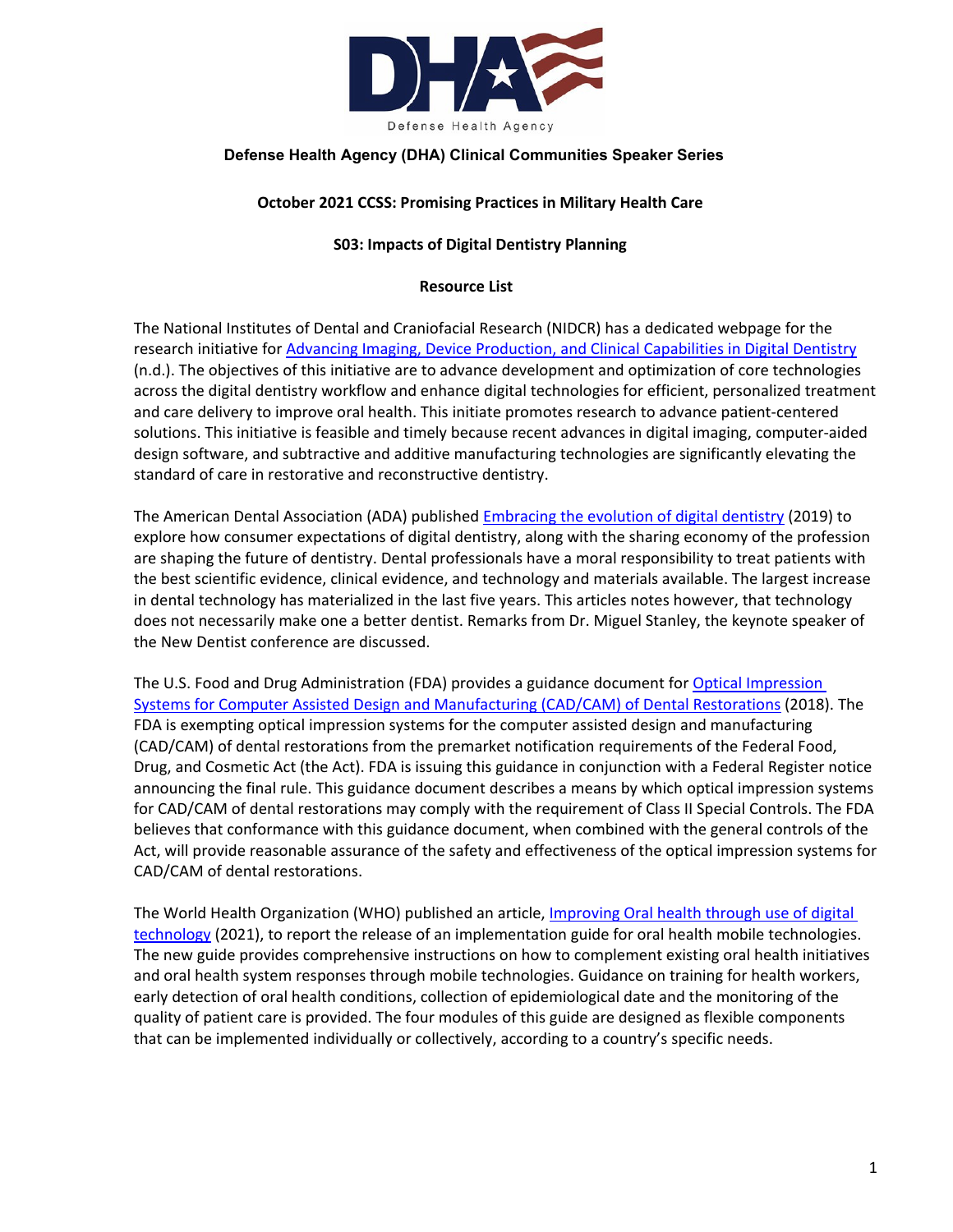

# **Defense Health Agency (DHA) Clinical Communities Speaker Series**

## **October 2021 CCSS: Promising Practices in Military Health Care**

### **S03: Impacts of Digital Dentistry Planning**

#### **Resource List**

The National Institutes of Dental and Craniofacial Research (NIDCR) has a dedicated webpage for the research initiative for [Advancing Imaging, Device Production, and Clinical Capabilities in Digital Dentistry](https://www.nidcr.nih.gov/grants-funding/funding-priorities/future-research-initiatives/advancing-imaging-device-production-clinical-capabilities-digital-dentistry) (n.d.). The objectives of this initiative are to advance development and optimization of core technologies across the digital dentistry workflow and enhance digital technologies for efficient, personalized treatment and care delivery to improve oral health. This initiate promotes research to advance patient-centered solutions. This initiative is feasible and timely because recent advances in digital imaging, computer-aided design software, and subtractive and additive manufacturing technologies are significantly elevating the standard of care in restorative and reconstructive dentistry.

The American Dental Association (ADA) publishe[d Embracing the evolution of digital dentistry](https://www.ada.org/en/publications/ada-news/2019-archive/september/embracing-the-evolution-of-digital-dentistry) (2019) to explore how consumer expectations of digital dentistry, along with the sharing economy of the profession are shaping the future of dentistry. Dental professionals have a moral responsibility to treat patients with the best scientific evidence, clinical evidence, and technology and materials available. The largest increase in dental technology has materialized in the last five years. This articles notes however, that technology does not necessarily make one a better dentist. Remarks from Dr. Miguel Stanley, the keynote speaker of the New Dentist conference are discussed.

The U.S. Food and Drug Administration (FDA) provides a guidance document for Optical Impression [Systems for Computer Assisted Design and Manufacturing \(CAD/CAM\) of Dental Restorations](https://www.fda.gov/medical-devices/guidance-documents-medical-devices-and-radiation-emitting-products/optical-impression-systems-computer-assisted-design-and-manufacturing-cadcam-dental-restorations) (2018). The FDA is exempting optical impression systems for the computer assisted design and manufacturing (CAD/CAM) of dental restorations from the premarket notification requirements of the Federal Food, Drug, and Cosmetic Act (the Act). FDA is issuing this guidance in conjunction with a Federal Register notice announcing the final rule. This guidance document describes a means by which optical impression systems for CAD/CAM of dental restorations may comply with the requirement of Class II Special Controls. The FDA believes that conformance with this guidance document, when combined with the general controls of the Act, will provide reasonable assurance of the safety and effectiveness of the optical impression systems for CAD/CAM of dental restorations.

The World Health Organization (WHO) published an article, *Improving Oral health through use of digital* [technology](https://www.who.int/news/item/17-09-2021-improving-oral-health-through-use-of-digital-technology) (2021), to report the release of an implementation guide for oral health mobile technologies. The new guide provides comprehensive instructions on how to complement existing oral health initiatives and oral health system responses through mobile technologies. Guidance on training for health workers, early detection of oral health conditions, collection of epidemiological date and the monitoring of the quality of patient care is provided. The four modules of this guide are designed as flexible components that can be implemented individually or collectively, according to a country's specific needs.